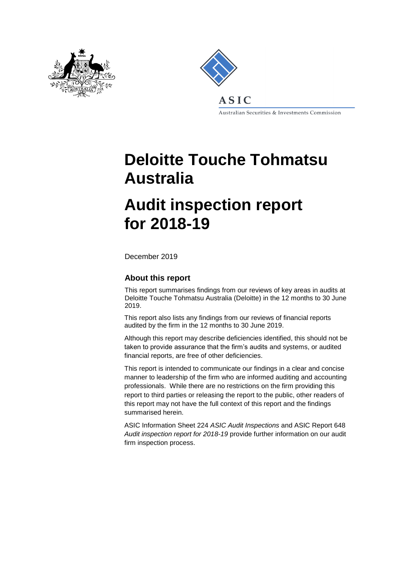



Australian Securities & Investments Commission

# **Deloitte Touche Tohmatsu Australia**

## **Audit inspection report for 2018-19**

December 2019

#### **About this report**

This report summarises findings from our reviews of key areas in audits at Deloitte Touche Tohmatsu Australia (Deloitte) in the 12 months to 30 June 2019.

This report also lists any findings from our reviews of financial reports audited by the firm in the 12 months to 30 June 2019.

Although this report may describe deficiencies identified, this should not be taken to provide assurance that the firm's audits and systems, or audited financial reports, are free of other deficiencies.

This report is intended to communicate our findings in a clear and concise manner to leadership of the firm who are informed auditing and accounting professionals. While there are no restrictions on the firm providing this report to third parties or releasing the report to the public, other readers of this report may not have the full context of this report and the findings summarised herein.

ASIC Information Sheet 224 *ASIC Audit Inspections* and ASIC Report 648 *Audit inspection report for 2018-19* provide further information on our audit firm inspection process.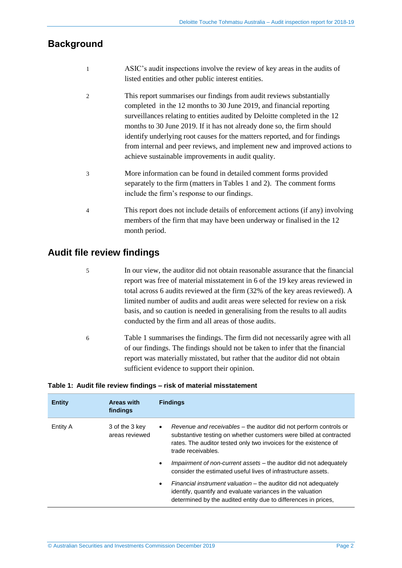## **Background**

- 1 ASIC's audit inspections involve the review of key areas in the audits of listed entities and other public interest entities.
- 2 This report summarises our findings from audit reviews substantially completed in the 12 months to 30 June 2019, and financial reporting surveillances relating to entities audited by Deloitte completed in the 12 months to 30 June 2019. If it has not already done so, the firm should identify underlying root causes for the matters reported, and for findings from internal and peer reviews, and implement new and improved actions to achieve sustainable improvements in audit quality.
- 3 More information can be found in detailed comment forms provided separately to the firm (matters in Tables 1 and 2). The comment forms include the firm's response to our findings.
- 4 This report does not include details of enforcement actions (if any) involving members of the firm that may have been underway or finalised in the 12 month period.

### **Audit file review findings**

- 5 In our view, the auditor did not obtain reasonable assurance that the financial report was free of material misstatement in 6 of the 19 key areas reviewed in total across 6 audits reviewed at the firm (32% of the key areas reviewed). A limited number of audits and audit areas were selected for review on a risk basis, and so caution is needed in generalising from the results to all audits conducted by the firm and all areas of those audits.
- 6 Table 1 summarises the findings. The firm did not necessarily agree with all of our findings. The findings should not be taken to infer that the financial report was materially misstated, but rather that the auditor did not obtain sufficient evidence to support their opinion.

| <b>Entity</b> | Areas with<br>findings           | <b>Findings</b>                                                                                                                                                                                                                                       |
|---------------|----------------------------------|-------------------------------------------------------------------------------------------------------------------------------------------------------------------------------------------------------------------------------------------------------|
| Entity A      | 3 of the 3 key<br>areas reviewed | <i>Revenue and receivables – the auditor did not perform controls or</i><br>$\bullet$<br>substantive testing on whether customers were billed at contracted<br>rates. The auditor tested only two invoices for the existence of<br>trade receivables. |
|               |                                  | Impairment of non-current assets – the auditor did not adequately<br>$\bullet$<br>consider the estimated useful lives of infrastructure assets.                                                                                                       |
|               |                                  | Financial instrument valuation – the auditor did not adequately<br>$\bullet$<br>identify, quantify and evaluate variances in the valuation<br>determined by the audited entity due to differences in prices,                                          |

#### **Table 1: Audit file review findings – risk of material misstatement**